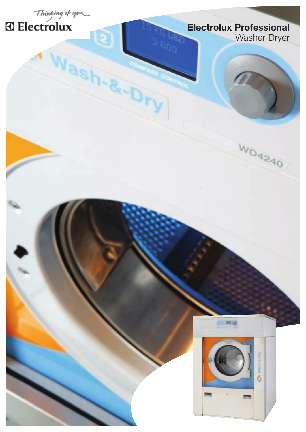

G

ash-8-

# Thinking of you

### Electrolux Professional Washer-Dryer

WD4240



 $= 0$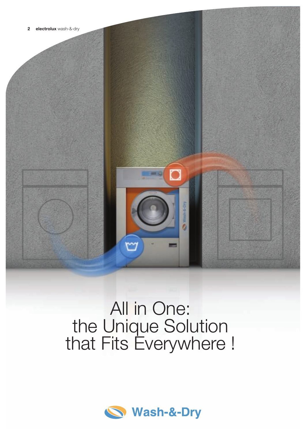

## All in One: the Unique Solution that Fits Everywhere !

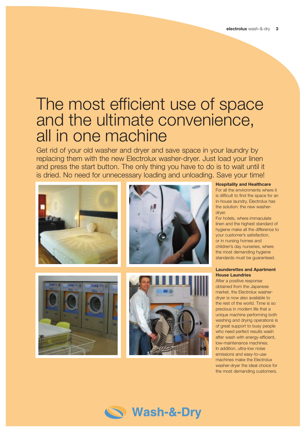### The most efficient use of space and the ultimate convenience, all in one machine

Get rid of your old washer and dryer and save space in your laundry by replacing them with the new Electrolux washer-dryer. Just load your linen and press the start button. The only thing you have to do is to wait until it is dried. No need for unnecessary loading and unloading. Save your time!



#### Hospitality and Healthcare

For all the environments where it is difficult to find the space for an in-house laundry, Electrolux has the solution: the new washer-

For hotels, where immaculate linen and the highest standard of hygiene make all the difference to your customer's satisfaction, or in nursing homes and children's day nurseries, where the most demanding hygiene standards must be guaranteed.

### Launderettes and Apartment House Laundries

After a positive response obtained from the Japanese market, the Electrolux washerdryer is now also available to the rest of the world. Time is so precious in modern life that a unique machine performing both washing and drying operations is of great support to busy people who need perfect results wash after wash with energy-efficient, low-maintenance machines. In addition, ultra-low noise emissions and easy-to-use machines make the Electrolux washer-dryer the ideal choice for the most demanding customers.

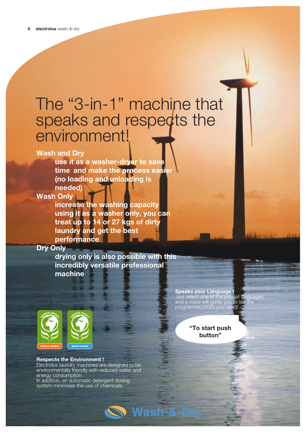### The "3-in-1" machine that speaks and respects the environment!

### Wash and Dry

 use it as a washer-dryer to save time and make the process easier (no loading and unloading is needed)

### Wash Only

 increase the washing capacity using it as a washer only, you can treat up to 14 or 27 kgs of dirty laundry and get the best performance

### Dry Only

 drying only is also possible with this incredibly versatile professional machine



#### Respects the Environment !

Electrolux laundry machines are designed to be environmentally friendly with reduced water and energy consumption. In addition, an automatic detergent dosing

system minimises the use of chemicals.

Speaks your Language ! Just select one of the pre-set languages and a voice will guide you to set the programme (VGS) you need!

> "To start push button"

Wash-&-Dr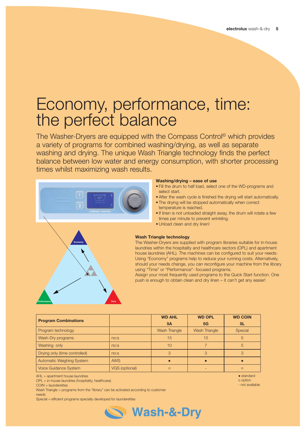### Economy, performance, time: the perfect balance

The Washer-Dryers are equipped with the Compass Control<sup>®</sup> which provides a variety of programs for combined washing/drying, as well as separate washing and drying. The unique Wash Triangle technology finds the perfect balance between low water and energy consumption, with shorter processing times whilst maximizing wash results.



#### Washing/drying – ease of use

- . Fill the drum to half load, select one of the WD-programs and select start.
- After the wash cycle is finished the drying will start automatically.
- The drying will be stopped automatically when correct temperature is reached.
- If linen is not unloaded straight away, the drum will rotate a few times per minute to prevent wrinkling.
- Unload clean and dry linen!



#### Wash Triangle technology

The Washer-Dryers are supplied with program libraries suitable for in-house laundries within the hospitality and healthcare sectors (OPL) and apartment house laundries (AHL). The machines can be configured to suit your needs: Using "Economy" programs help to reduce your running costs. Alternatively, should your needs change, you can reconfigure your machine from the library using "Time" or "Performance"- focused programs.

Assign your most frequently used programs to the Quick Start function. One push is enough to obtain clean and dry linen – it can't get any easier!

| <b>Program Combinations</b>      |                  | <b>WD AHL</b>        | <b>WD OPL</b>        | <b>WD COIN</b> |
|----------------------------------|------------------|----------------------|----------------------|----------------|
|                                  |                  | 5A                   | 5G                   | 5L             |
| Program technology               |                  | <b>Wash Triangle</b> | <b>Wash Triangle</b> | Special        |
| Wash-Dry programs                | no:s             | 15                   | 15                   | 5              |
| Washing only                     | no:s             | 10                   |                      | 5              |
| Drying only (time controlled)    | n <sub>0.5</sub> |                      |                      |                |
| <b>Automatic Weighing System</b> | <b>AWS</b>       |                      |                      |                |
| <b>Voice Guidance System</b>     | VGS (optional)   | $\circ$              |                      | $\Omega$       |

AHL = apartment house laundries

OPL = in-house laundries (hospitality, healthcare)

Wash Triangle = programs from the "library" can be activated according to customer needs

Special = efficient programs specially developed for launderettes



 $\bullet$  standard o option - not available

COIN = launderettes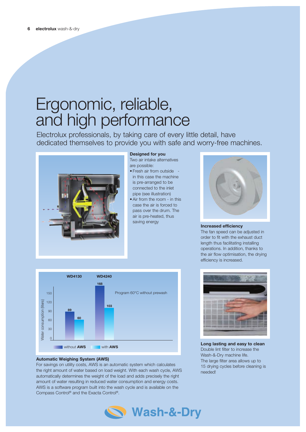### Ergonomic, reliable, and high performance

Electrolux professionals, by taking care of every little detail, have dedicated themselves to provide you with safe and worry-free machines.



### Designed for you

Two air intake alternatives are possible:

- Fresh air from outside in this case the machine is pre-arranged to be connected to the inlet pipe (see illustration)
- $\bullet$  Air from the room in this case the air is forced to pass over the drum. The air is pre-heated, thus saving energy



### Increased efficiency

The fan speed can be adjusted in order to fit with the exhaust duct length thus facilitating installing operations. In addition, thanks to the air flow optimisation, the drying efficiency is increased.



### Automatic Weighing System (AWS)

For savings on utility costs, AWS is an automatic system which calculates the right amount of water based on load weight. With each wash cycle, AWS automatically determines the weight of the load and adds precisely the right amount of water resulting in reduced water consumption and energy costs. AWS is a software program built into the wash cycle and is available on the Compass Control® and the Exacta Control®.



Long lasting and easy to clean Double lint filter to increase the Wash-&-Dry machine life. The large filter area allows up to 15 drying cycles before cleaning is needed!

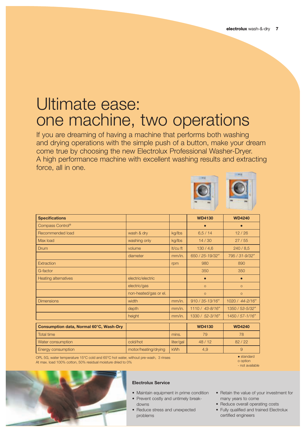### Ultimate ease: one machine, two operations

If you are dreaming of having a machine that performs both washing and drying operations with the simple push of a button, make your dream come true by choosing the new Electrolux Professional Washer-Dryer. A high performance machine with excellent washing results and extracting force, all in one.



| <b>Specifications</b>                   |                       |           | <b>WD4130</b>   | <b>WD4240</b>   |
|-----------------------------------------|-----------------------|-----------|-----------------|-----------------|
| Compass Control®                        |                       |           | $\bullet$       | $\bullet$       |
| Recommended load                        | wash & dry            | kg/lbs    | 6,5/14          | 12/26           |
| Max load                                | washing only          | kg/lbs    | 14/30           | 27/55           |
| Drum                                    | volume                | It/cu ft  | 130/4,6         | 240/8,5         |
|                                         | diameter              | mm/in.    | 650 / 25-19/32" | 795 / 31-9/32"  |
| Extraction                              |                       | rpm       | 980             | 890             |
| G-factor                                |                       |           | 350             | 350             |
| <b>Heating alternatives</b>             | electric/electric     |           | $\bullet$       | $\bullet$       |
|                                         | electric/gas          |           | $\circ$         | $\circ$         |
|                                         | non-heated/gas or el. |           | $\circ$         | $\circ$         |
| <b>Dimensions</b>                       | width                 | mm/in.    | 910 / 35-13/16" | 1020 / 44-2/16" |
|                                         | depth                 | mm/in.    | 1110 / 43-8/16" | 1350 / 53-5/32" |
|                                         | height                | mm/in.    | 1330 / 52-3/16" | 1450 / 57-1/16" |
| Consumption data, Normal 60°C, Wash-Dry |                       |           | <b>WD4130</b>   | <b>WD4240</b>   |
| <b>Total time</b>                       |                       | mins.     | 79              | 78              |
| Water consumption                       | cold/hot              | liter/gal | 48/12           | 82/22           |
| Energy consumption                      | motor/heating/drying  | kWh       | 4,9             | 9               |

OPL 5G, water temperature 15°C cold and 65°C hot water, without pre-wash, 3 rinses At max. load 100% cotton, 50% residual moisture dried to 0%

standard o option





#### Electrolux Service

- Maintain equipment in prime condition • Prevent costly and untimely break
	- downs
- Reduce stress and unexpected problems
- Retain the value of your investment for many years to come
- Reduce overall operating costs
- Fully qualified and trained Electrolux certified engineers